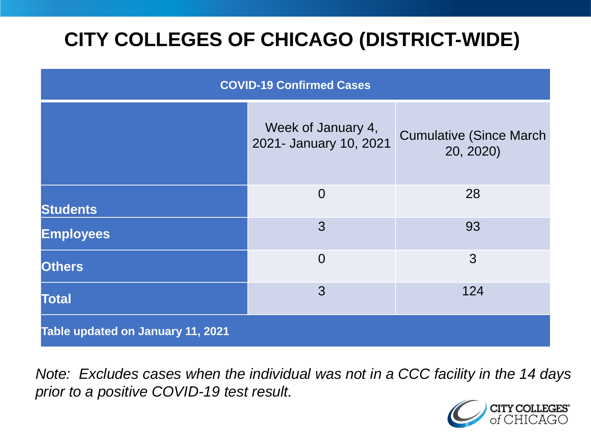# **CITY COLLEGES OF CHICAGO (DISTRICT-WIDE)**

| <b>COVID-19 Confirmed Cases</b>   |                                              |                                              |
|-----------------------------------|----------------------------------------------|----------------------------------------------|
|                                   | Week of January 4,<br>2021- January 10, 2021 | <b>Cumulative (Since March)</b><br>20, 2020) |
| <b>Students</b>                   | $\overline{0}$                               | 28                                           |
| <b>Employees</b>                  | 3                                            | 93                                           |
| <b>Others</b>                     | $\overline{0}$                               | 3                                            |
| <b>Total</b>                      | 3                                            | 124                                          |
| Table updated on January 11, 2021 |                                              |                                              |

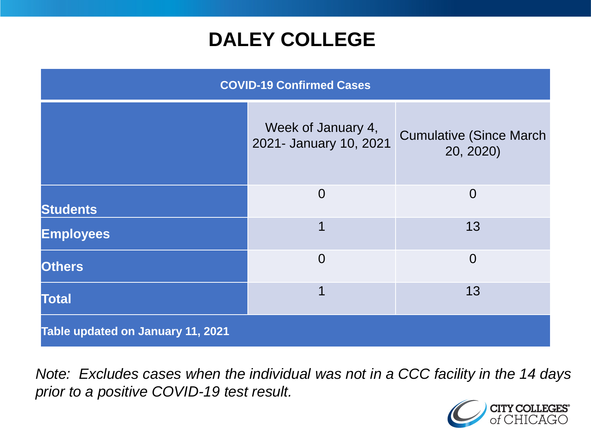## **DALEY COLLEGE**

| <b>COVID-19 Confirmed Cases</b>   |                                              |                                              |
|-----------------------------------|----------------------------------------------|----------------------------------------------|
|                                   | Week of January 4,<br>2021- January 10, 2021 | <b>Cumulative (Since March)</b><br>20, 2020) |
| <b>Students</b>                   | $\Omega$                                     | $\overline{0}$                               |
| <b>Employees</b>                  | 1                                            | 13                                           |
| <b>Others</b>                     | $\overline{0}$                               | $\overline{0}$                               |
| <b>Total</b>                      | 1                                            | 13                                           |
| Table updated on January 11, 2021 |                                              |                                              |

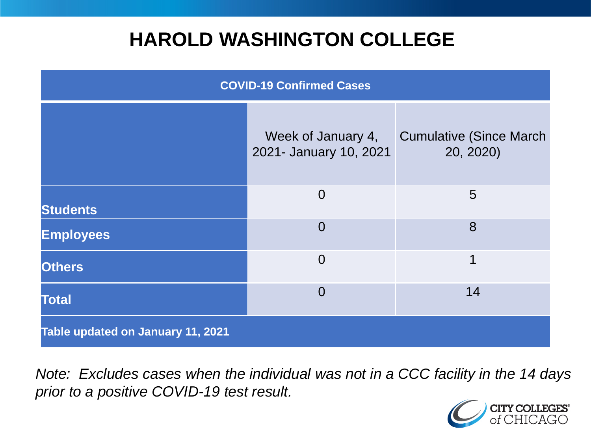## **HAROLD WASHINGTON COLLEGE**

| <b>COVID-19 Confirmed Cases</b>   |                                              |                                              |
|-----------------------------------|----------------------------------------------|----------------------------------------------|
|                                   | Week of January 4,<br>2021- January 10, 2021 | <b>Cumulative (Since March)</b><br>20, 2020) |
| <b>Students</b>                   | $\Omega$                                     | $5\overline{)}$                              |
| <b>Employees</b>                  | $\Omega$                                     | 8                                            |
| <b>Others</b>                     | $\Omega$                                     | 1                                            |
| <b>Total</b>                      | $\Omega$                                     | 14                                           |
| Table updated on January 11, 2021 |                                              |                                              |

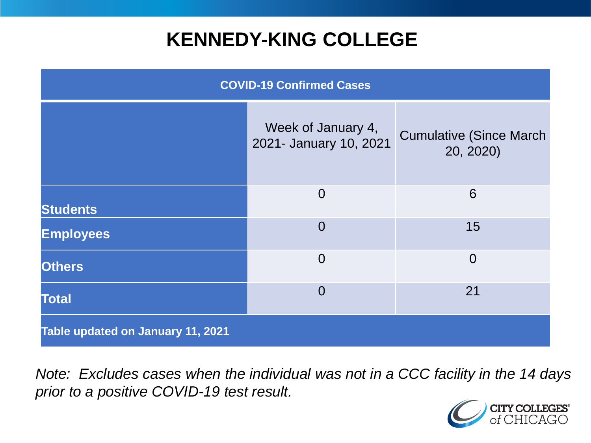## **KENNEDY-KING COLLEGE**

| <b>COVID-19 Confirmed Cases</b>   |                                              |                                              |
|-----------------------------------|----------------------------------------------|----------------------------------------------|
|                                   | Week of January 4,<br>2021- January 10, 2021 | <b>Cumulative (Since March)</b><br>20, 2020) |
| <b>Students</b>                   | $\overline{0}$                               | 6                                            |
| <b>Employees</b>                  | $\overline{0}$                               | 15                                           |
| <b>Others</b>                     | $\overline{0}$                               | $\overline{0}$                               |
| <b>Total</b>                      | $\overline{0}$                               | 21                                           |
| Table updated on January 11, 2021 |                                              |                                              |

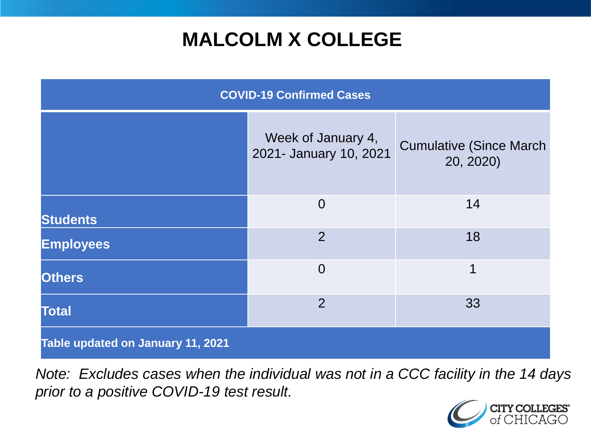## **MALCOLM X COLLEGE**

| <b>COVID-19 Confirmed Cases</b>   |                                              |                                              |
|-----------------------------------|----------------------------------------------|----------------------------------------------|
|                                   | Week of January 4,<br>2021- January 10, 2021 | <b>Cumulative (Since March)</b><br>20, 2020) |
| <b>Students</b>                   | $\overline{0}$                               | 14                                           |
| <b>Employees</b>                  | $\overline{2}$                               | 18                                           |
| <b>Others</b>                     | $\overline{0}$                               | 1                                            |
| <b>Total</b>                      | 2                                            | 33                                           |
| Table updated on January 11, 2021 |                                              |                                              |

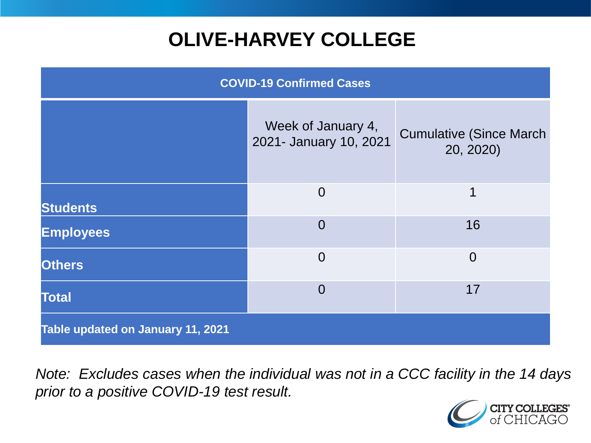# **OLIVE-HARVEY COLLEGE**

| <b>COVID-19 Confirmed Cases</b>   |                                              |                                              |
|-----------------------------------|----------------------------------------------|----------------------------------------------|
|                                   | Week of January 4,<br>2021- January 10, 2021 | <b>Cumulative (Since March)</b><br>20, 2020) |
| <b>Students</b>                   | $\overline{0}$                               | 1                                            |
| <b>Employees</b>                  | $\Omega$                                     | 16                                           |
| <b>Others</b>                     | $\overline{0}$                               | $\overline{0}$                               |
| <b>Total</b>                      | $\Omega$                                     | 17                                           |
| Table updated on January 11, 2021 |                                              |                                              |

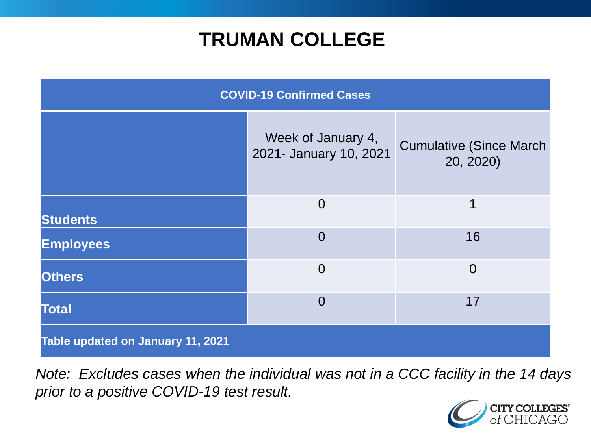## **TRUMAN COLLEGE**

| <b>COVID-19 Confirmed Cases</b>   |                                              |                                              |
|-----------------------------------|----------------------------------------------|----------------------------------------------|
|                                   | Week of January 4,<br>2021- January 10, 2021 | <b>Cumulative (Since March)</b><br>20, 2020) |
| <b>Students</b>                   | $\overline{0}$                               | 1                                            |
| <b>Employees</b>                  | $\Omega$                                     | 16                                           |
| <b>Others</b>                     | $\overline{0}$                               | $\overline{0}$                               |
| <b>Total</b>                      | $\Omega$                                     | 17                                           |
| Table updated on January 11, 2021 |                                              |                                              |

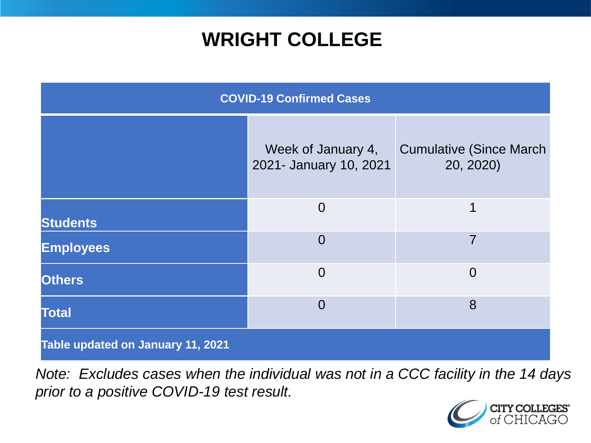## **WRIGHT COLLEGE**

| <b>COVID-19 Confirmed Cases</b>   |                                              |                                              |
|-----------------------------------|----------------------------------------------|----------------------------------------------|
|                                   | Week of January 4,<br>2021- January 10, 2021 | <b>Cumulative (Since March)</b><br>20, 2020) |
| <b>Students</b>                   | $\overline{0}$                               | 1                                            |
| <b>Employees</b>                  | $\overline{0}$                               | $\overline{7}$                               |
| <b>Others</b>                     | $\overline{0}$                               | $\overline{0}$                               |
| <b>Total</b>                      | $\overline{0}$                               | 8                                            |
| Table updated on January 11, 2021 |                                              |                                              |